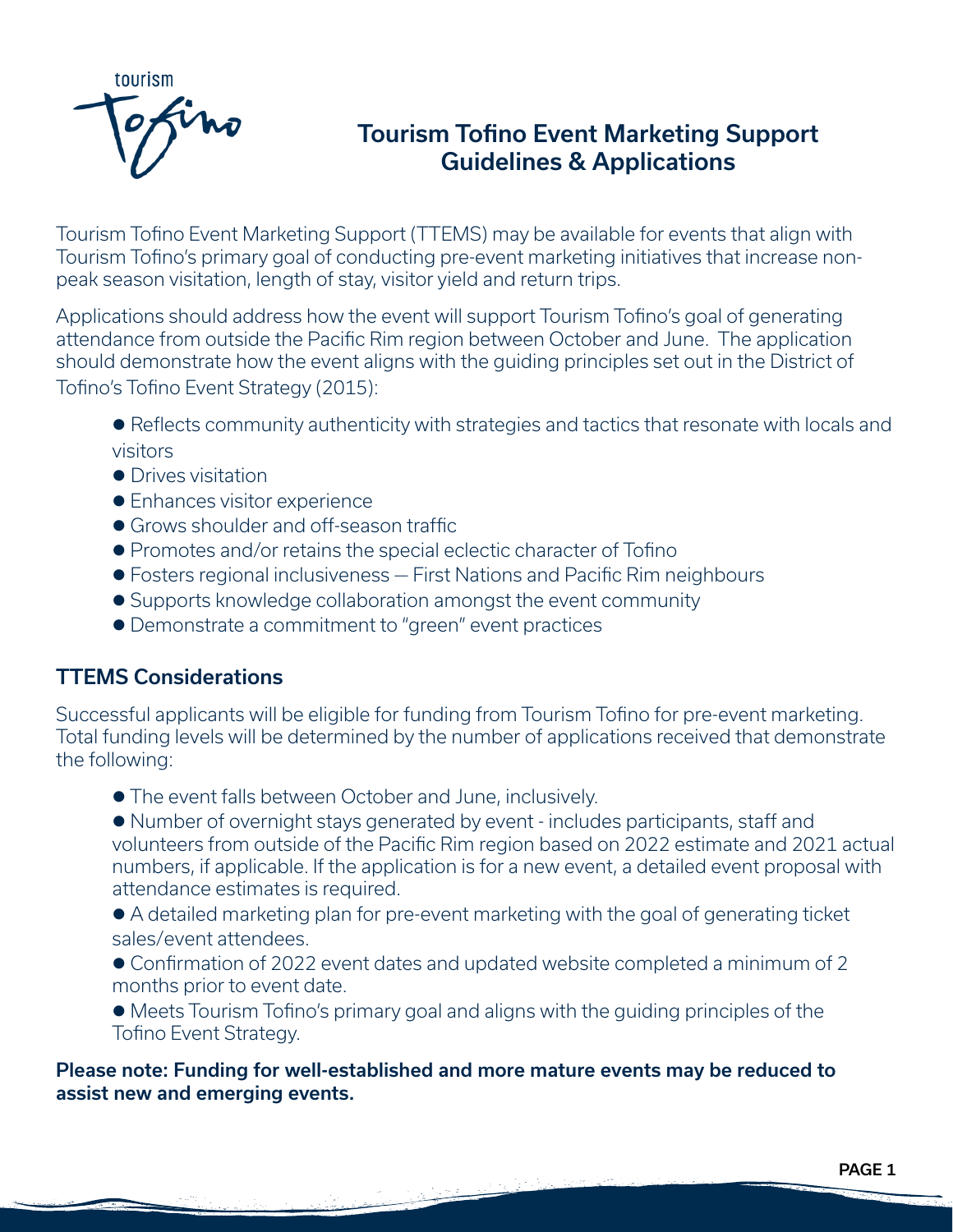

# Tourism Tofino Event Marketing Support Guidelines & Applications

Tourism Tofino Event Marketing Support (TTEMS) may be available for events that align with Tourism Tofino's primary goal of conducting pre-event marketing initiatives that increase nonpeak season visitation, length of stay, visitor yield and return trips.

Applications should address how the event will support Tourism Tofino's goal of generating attendance from outside the Pacific Rim region between October and June. The application should demonstrate how the event aligns with the guiding principles set out in the District of Tofino's Tofino Event Strategy (2015):

• Reflects community authenticity with strategies and tactics that resonate with locals and visitors

- **•** Drives visitation
- **•** Enhances visitor experience
- **Grows shoulder and off-season traffic.**
- **Promotes and/or retains the special eclectic character of Tofino**
- **•** Fosters regional inclusiveness First Nations and Pacific Rim neighbours
- **Supports knowledge collaboration amongst the event community**
- l Demonstrate a commitment to "green" event practices

# TTEMS Considerations

Successful applicants will be eligible for funding from Tourism Tofino for pre-event marketing. Total funding levels will be determined by the number of applications received that demonstrate the following:

**The event falls between October and June, inclusively.** 

• Number of overnight stays generated by event - includes participants, staff and volunteers from outside of the Pacific Rim region based on 2022 estimate and 2021 actual numbers, if applicable. If the application is for a new event, a detailed event proposal with attendance estimates is required.

• A detailed marketing plan for pre-event marketing with the goal of generating ticket sales/event attendees.

● Confirmation of 2022 event dates and updated website completed a minimum of 2 months prior to event date.

• Meets Tourism Tofino's primary goal and aligns with the quiding principles of the Tofino Event Strategy.

Please note: Funding for well-established and more mature events may be reduced to assist new and emerging events.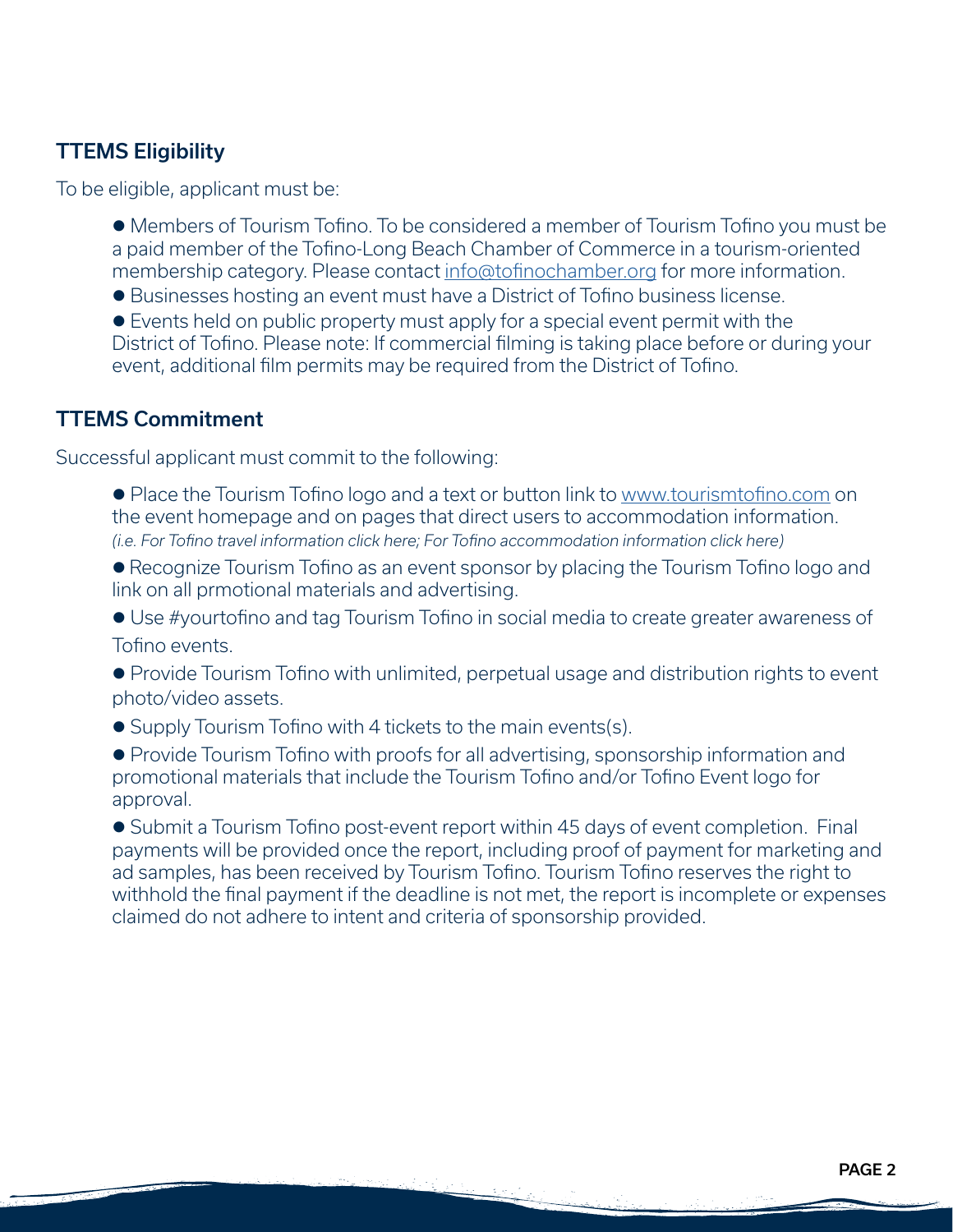# TTEMS Eligibility

To be eligible, applicant must be:

• Members of Tourism Tofino. To be considered a member of Tourism Tofino you must be a paid member of the Tofino-Long Beach Chamber of Commerce in a tourism-oriented membership category. Please contact [info@tofinochamber.org](mailto:info%40tofinochamber.org?subject=Becoming%20a%20Chamber%20Member) for more information.

● Businesses hosting an event must have a District of Tofino business license.

• Events held on public property must apply for a special event permit with the District of Tofino. Please note: If commercial filming is taking place before or during your event, additional film permits may be required from the District of Tofino.

## TTEMS Commitment

Successful applicant must commit to the following:

• Place the Tourism Tofino logo and a text or button link to [www.tourismtofino.com](http://www.tourismtofino.com) on the event homepage and on pages that direct users to accommodation information. *(i.e. For Tofino travel information click here; For Tofino accommodation information click here)*

• Recognize Tourism Tofino as an event sponsor by placing the Tourism Tofino logo and link on all prmotional materials and advertising.

**.** Use #yourtofino and tag Tourism Tofino in social media to create greater awareness of Tofino events.

• Provide Tourism Tofino with unlimited, perpetual usage and distribution rights to event photo/video assets.

• Supply Tourism Tofino with 4 tickets to the main events(s).

• Provide Tourism Tofino with proofs for all advertising, sponsorship information and promotional materials that include the Tourism Tofino and/or Tofino Event logo for approval.

• Submit a Tourism Tofino post-event report within 45 days of event completion. Final payments will be provided once the report, including proof of payment for marketing and ad samples, has been received by Tourism Tofino. Tourism Tofino reserves the right to withhold the final payment if the deadline is not met, the report is incomplete or expenses claimed do not adhere to intent and criteria of sponsorship provided.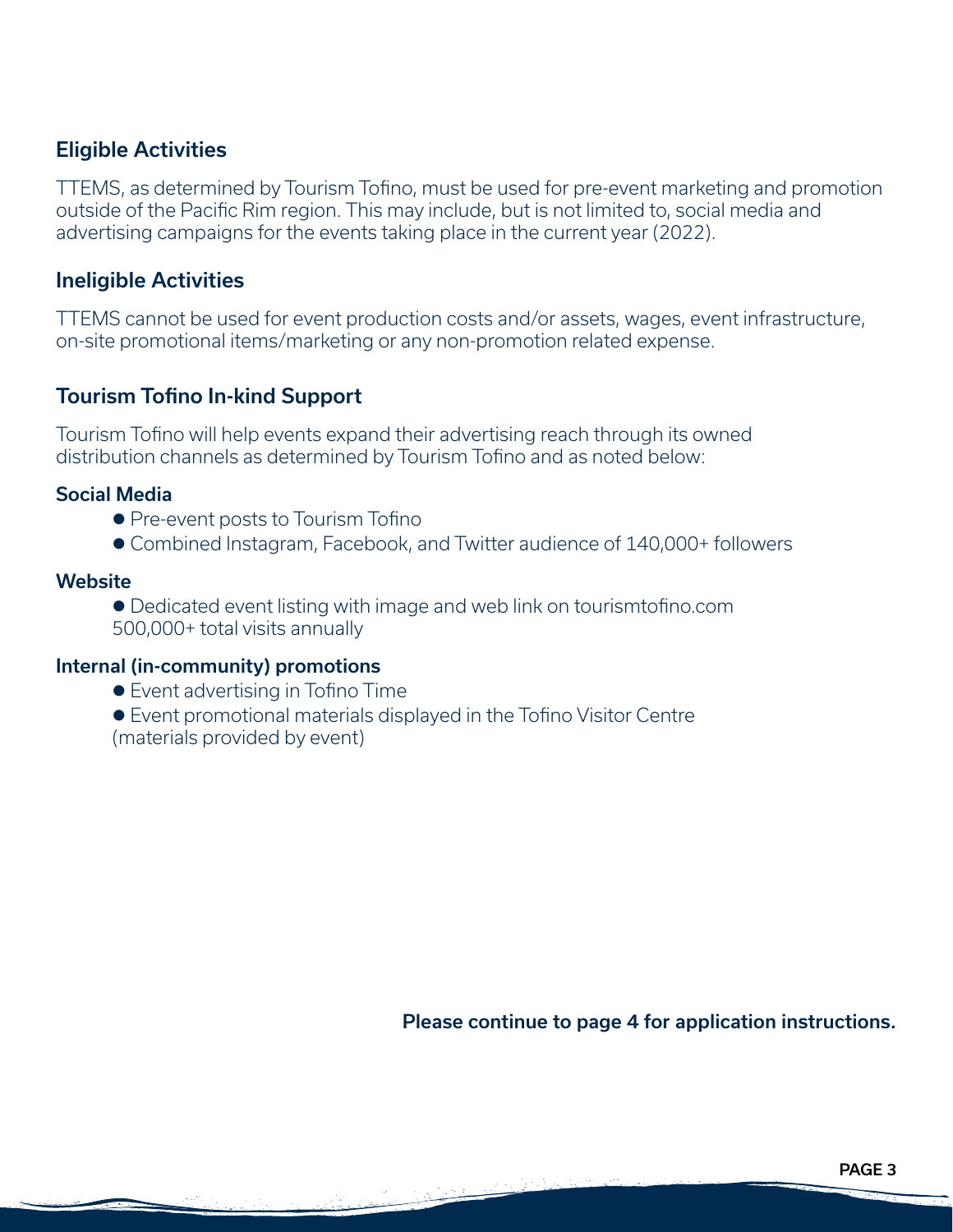## Eligible Activities

TTEMS, as determined by Tourism Tofino, must be used for pre-event marketing and promotion outside of the Pacific Rim region. This may include, but is not limited to, social media and advertising campaigns for the events taking place in the current year (2022).

## Ineligible Activities

TTEMS cannot be used for event production costs and/or assets, wages, event infrastructure, on-site promotional items/marketing or any non-promotion related expense.

## Tourism Tofino In-kind Support

Tourism Tofino will help events expand their advertising reach through its owned distribution channels as determined by Tourism Tofino and as noted below:

#### Social Media

- **Pre-event posts to Tourism Tofino**
- Combined Instagram, Facebook, and Twitter audience of 140,000+ followers

#### **Website**

• Dedicated event listing with image and web link on tourismtofino.com 500,000+ total visits annually

#### Internal (in-community) promotions

● Event advertising in Tofino Time

**E**vent promotional materials displayed in the Tofino Visitor Centre (materials provided by event)

Please continue to page 4 for application instructions.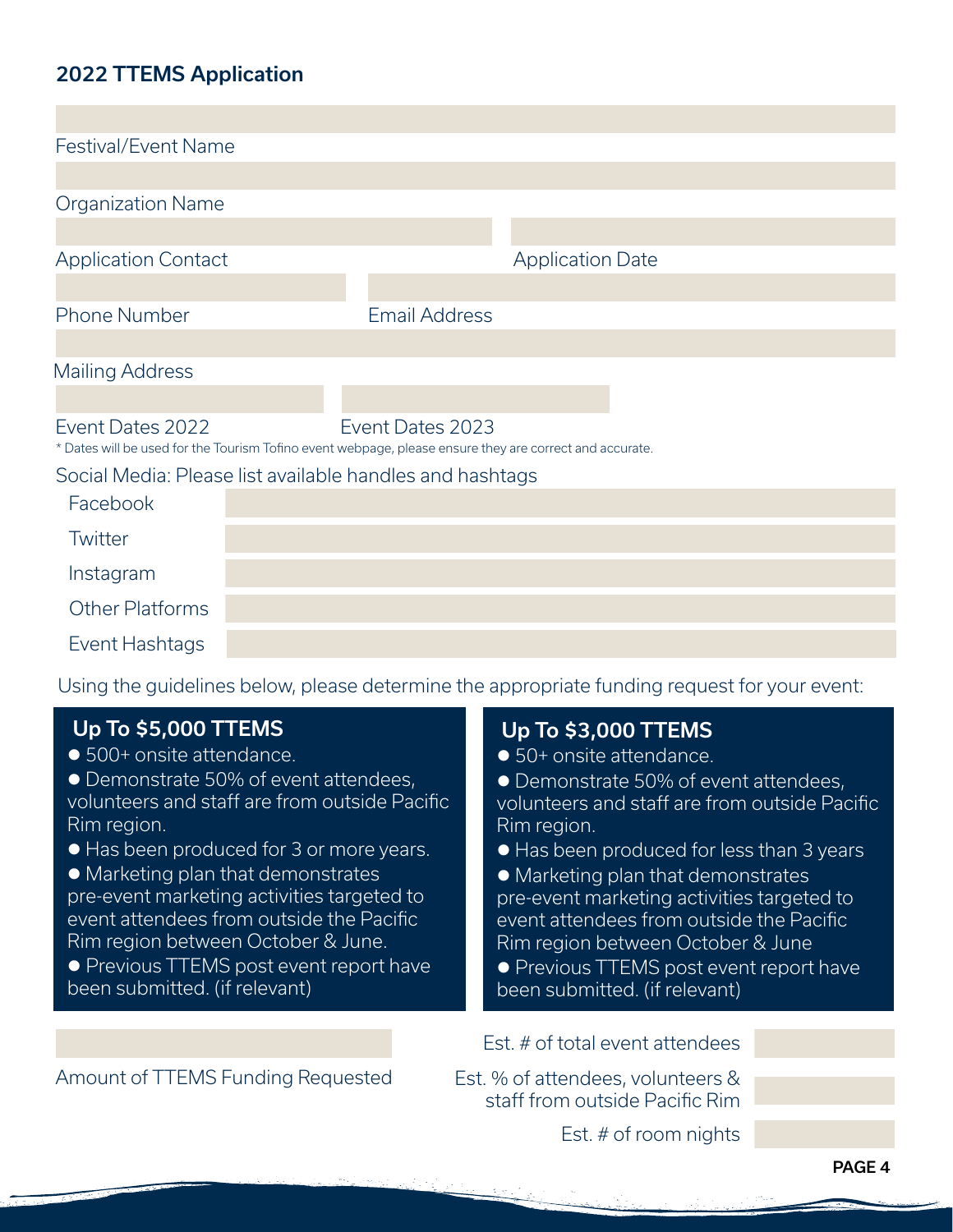# 2022 TTEMS Application

| <b>Festival/Event Name</b>                                                                                                  |  |                      |                         |  |  |
|-----------------------------------------------------------------------------------------------------------------------------|--|----------------------|-------------------------|--|--|
|                                                                                                                             |  |                      |                         |  |  |
| <b>Organization Name</b>                                                                                                    |  |                      |                         |  |  |
|                                                                                                                             |  |                      |                         |  |  |
| <b>Application Contact</b>                                                                                                  |  |                      | <b>Application Date</b> |  |  |
|                                                                                                                             |  |                      |                         |  |  |
| <b>Phone Number</b>                                                                                                         |  | <b>Email Address</b> |                         |  |  |
|                                                                                                                             |  |                      |                         |  |  |
| <b>Mailing Address</b>                                                                                                      |  |                      |                         |  |  |
|                                                                                                                             |  |                      |                         |  |  |
| Event Dates 2022<br>* Dates will be used for the Tourism Tofino event webpage, please ensure they are correct and accurate. |  | Event Dates 2023     |                         |  |  |
| Social Media: Please list available handles and hashtags                                                                    |  |                      |                         |  |  |
| Facebook                                                                                                                    |  |                      |                         |  |  |
| Twitter                                                                                                                     |  |                      |                         |  |  |
| Instagram                                                                                                                   |  |                      |                         |  |  |
| <b>Other Platforms</b>                                                                                                      |  |                      |                         |  |  |
| Event Hashtags                                                                                                              |  |                      |                         |  |  |

Using the guidelines below, please determine the appropriate funding request for your event:

| <b>Up To \$5,000 TTEMS</b><br>• 500+ onsite attendance.<br>• Demonstrate 50% of event attendees,<br>volunteers and staff are from outside Pacific<br>Rim region.<br>• Has been produced for 3 or more years.<br>• Marketing plan that demonstrates<br>pre-event marketing activities targeted to<br>event attendees from outside the Pacific<br>Rim region between October & June.<br>• Previous TTEMS post event report have<br>been submitted. (if relevant) | <b>Up To \$3,000 TTEMS</b><br>• 50+ onsite attendance.<br>• Demonstrate 50% of event attendees,<br>volunteers and staff are from outside Pacific<br>Rim region.<br>• Has been produced for less than 3 years<br>• Marketing plan that demonstrates<br>pre-event marketing activities targeted to<br>event attendees from outside the Pacific<br>Rim region between October & June<br>• Previous TTEMS post event report have<br>been submitted. (if relevant) |  |  |
|----------------------------------------------------------------------------------------------------------------------------------------------------------------------------------------------------------------------------------------------------------------------------------------------------------------------------------------------------------------------------------------------------------------------------------------------------------------|---------------------------------------------------------------------------------------------------------------------------------------------------------------------------------------------------------------------------------------------------------------------------------------------------------------------------------------------------------------------------------------------------------------------------------------------------------------|--|--|
|                                                                                                                                                                                                                                                                                                                                                                                                                                                                | Est. # of total event attendees                                                                                                                                                                                                                                                                                                                                                                                                                               |  |  |
| Amount of TTEMS Funding Requested                                                                                                                                                                                                                                                                                                                                                                                                                              | Est. % of attendees, volunteers &<br>staff from outside Pacific Rim                                                                                                                                                                                                                                                                                                                                                                                           |  |  |
|                                                                                                                                                                                                                                                                                                                                                                                                                                                                | Est. $#$ of room nights                                                                                                                                                                                                                                                                                                                                                                                                                                       |  |  |